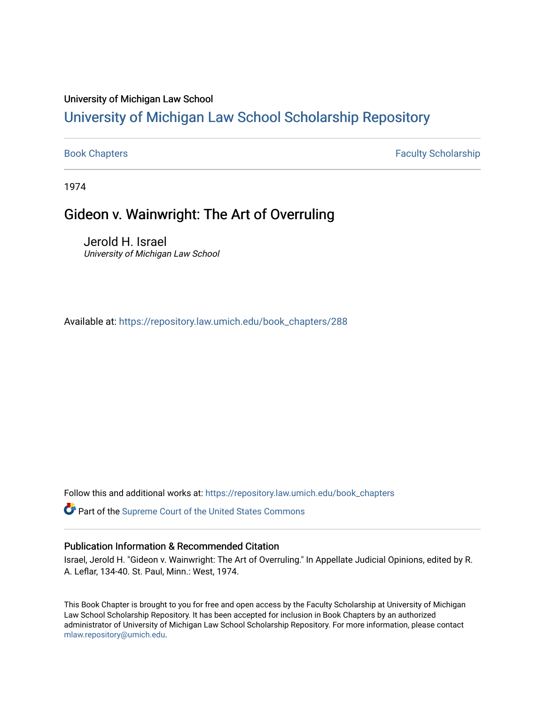## University of Michigan Law School

# [University of Michigan Law School Scholarship Repository](https://repository.law.umich.edu/)

[Book Chapters](https://repository.law.umich.edu/book_chapters) **Faculty Scholarship** 

1974

# Gideon v. Wainwright: The Art of Overruling

Jerold H. Israel University of Michigan Law School

Available at: [https://repository.law.umich.edu/book\\_chapters/288](https://repository.law.umich.edu/book_chapters/288) 

Follow this and additional works at: [https://repository.law.umich.edu/book\\_chapters](https://repository.law.umich.edu/book_chapters?utm_source=repository.law.umich.edu%2Fbook_chapters%2F288&utm_medium=PDF&utm_campaign=PDFCoverPages)

Part of the [Supreme Court of the United States Commons](http://network.bepress.com/hgg/discipline/1350?utm_source=repository.law.umich.edu%2Fbook_chapters%2F288&utm_medium=PDF&utm_campaign=PDFCoverPages) 

### Publication Information & Recommended Citation

Israel, Jerold H. "Gideon v. Wainwright: The Art of Overruling." In Appellate Judicial Opinions, edited by R. A. Leflar, 134-40. St. Paul, Minn.: West, 1974.

This Book Chapter is brought to you for free and open access by the Faculty Scholarship at University of Michigan Law School Scholarship Repository. It has been accepted for inclusion in Book Chapters by an authorized administrator of University of Michigan Law School Scholarship Repository. For more information, please contact [mlaw.repository@umich.edu.](mailto:mlaw.repository@umich.edu)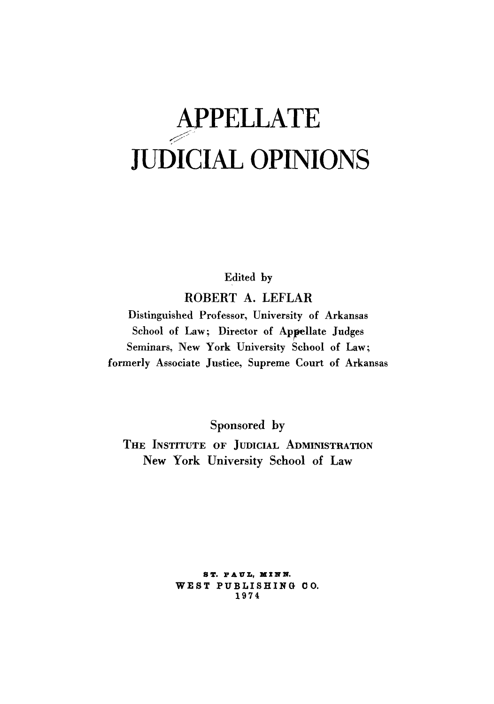# **APPELLATE**  ~<· JUDICIAL OPINIONS

Edited by

ROBERT A. LEFLAR

Distinguished Professor, University of Arkansas School of Law; Director of Appellate Judges Seminars, New York University School of Law; formerly Associate Justice, Supreme Court of Arkansas

Sponsored by

THE INSTITUTE OF JUDICIAL ADMINISTRATION New York University School of Law

> **S T, P A V L,** II I **llf llf,**  WEST PUBLISHING CO. 1974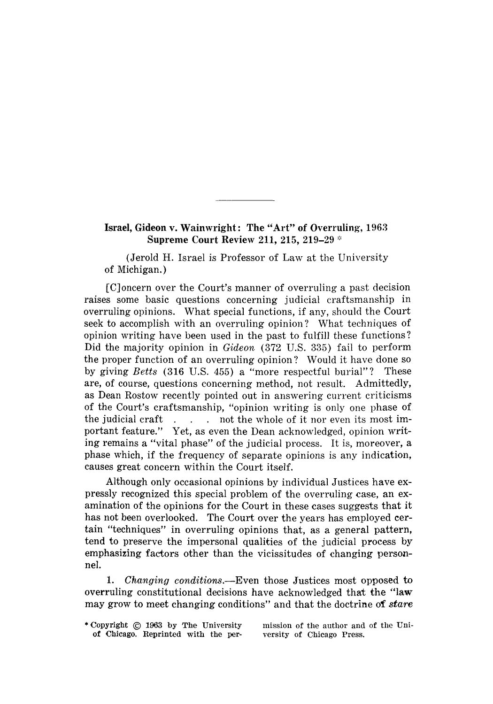#### **Israel, Gideon v. Wainwright: The "Art" of Overruling, 1963 Supreme Court Review 211, 215, 219-29**  $*$

(Jerold H. Israel is Professor of Law at the University of Michigan.)

[C]oncern over the Court's manner of overruling a past decision raises some basic questions concerning judicial craftsmanship in overruling opinions. What special functions, if any, should the Court seek to accomplish with an overruling opinion? What techniques of opinion writing have been used in the past to fulfill these functions? Did the majority opinion in *Gideon* (372 U.S. 335) fail to perform the proper function of an overruling opinion? Would it have done so by giving *Betts* (316 U.S. 455) a "more respectful burial"? These are, of course, questions concerning method, not result. Admittedly, as Dean Rostow recently pointed out in answering current criticisms of the Court's craftsmanship, "opinion writing is only one phase of the judicial craft  $\ldots$  not the whole of it nor even its most important feature." Yet, as even the Dean acknowledged, opinion writing remains a "vital phase" of the judicial process. It is, moreover, a phase which, if the frequency of separate opinions is any indication, causes great concern within the Court itself.

Although only occasional opinions by individual Justices have expressly recognized this special problem of the overruling case, an examination of the opinions for the Court in these cases suggests that it has not been overlooked. The Court over the years has employed certain "techniques" in overruling opinions that, as a general pattern, tend to preserve the impersonal qualities of the judicial process by emphasizing factors other than the vicissitudes of changing personnel.

1. *Changing conditions.-Even* those Justices most opposed to overruling constitutional decisions have acknowledged that the "law may grow to meet changing conditions" and that the doctrine of *stare* 

mission of the author and of the University of Chicago Press.

<sup>\*</sup> Copyright © 1963 by The University of Chicago, Reprinted with the per-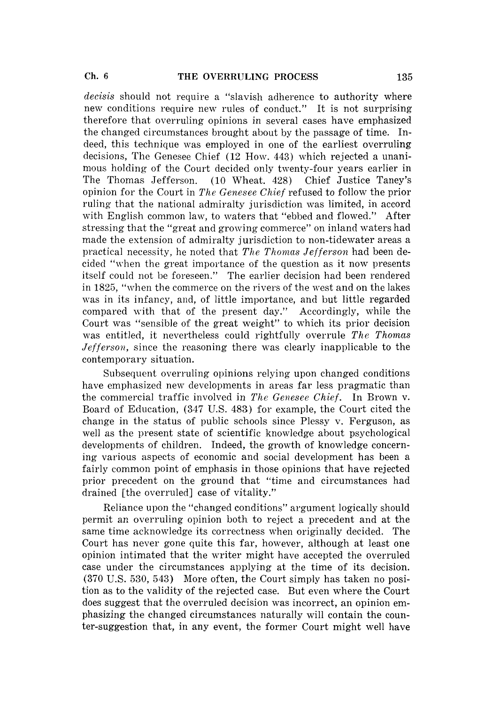*decisis* should not require a "slavish adherence to authority where new conditions require new rules of conduct." It is not surprising therefore that overruling opinions in several cases have emphasized the changed circumstances brought about by the passage of time. Indeed, this technique was employed in one of the earliest overruling decisions, The Genesee Chief (12 How. 443) which rejected a unanimous holding of the Court decided only twenty-four years earlier in The Thomas Jefferson. (10 Wheat. 428) Chief Justice Taney's opinion for the Court in *The Genesee Chief* refused to follow the prior ruling that the national admiralty jurisdiction was limited, in accord with English common law, to waters that "ebbed and flowed." After stressing that the "great and growing commerce" on inland waters had made the extension of admiralty jurisdiction to non-tidewater areas a practical necessity, he noted that *The Thomas Jefferson* had been decided "when the great importance of the question as it now presents itself could not be foreseen." The earlier decision had been rendered in 1825, "when the commerce on the rivers of the west and on the lakes was in its infancy, and, of little importance, and but little regarded compared with that of the present day." Accordingly, while the Court was "sensible of the great weight" to which its prior decision was entitled, it nevertheless could rightfully overrule *The Thomas Jefferson,* since the reasoning there was clearly inapplicable to the contemporary situation.

Subsequent overruling opinions relying upon changed conditions have emphasized new developments in areas far less pragmatic than the commercial traffic involved in *The Genesee Chief.* In Brown v. Board of Education, (347 U.S. 483) for example, the Court cited the change in the status of public schools since Plessy v. Ferguson, as well as the present state of scientific knowledge about psychological developments of children. Indeed, the growth of knowledge concerning various aspects of economic and social development has been a fairly common point of emphasis in those opinions that have rejected prior precedent on the ground that "time and circumstances had drained [the overruled] case of vitality."

Reliance upon the "changed conditions" argument logically should permit an overruling opinion both to reject a precedent and at the same time acknowledge its correctness when originally decided. The Court has never gone quite this far, however, although at least one opinion intimated that the writer might have accepted the overruled case under the circumstances applying at the time of its decision. (370 U.S. 530, 543) More often, the Court simply has taken no position as to the validity of the rejected case. But even where the Court does suggest that the overruled decision was incorrect, an opinion emphasizing the changed circumstances naturally will contain the counter-suggestion that, in any event, the former Court might well have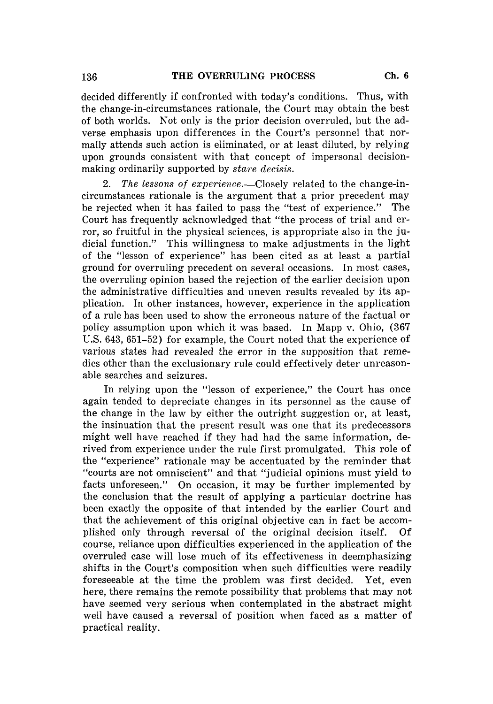decided differently if confronted with today's conditions. Thus, with the change-in-circumstances rationale, the Court may obtain the best of both worlds. Not only is the prior decision overruled, but the adverse emphasis upon differences in the Court's personnel that normally attends such action is eliminated, or at least diluted, by relying upon grounds consistent with that concept of impersonal decisionmaking ordinarily supported by *stare decisis.* 

2. The lessons of experience.—Closely related to the change-incircumstances rationale is the argument that a prior precedent may be rejected when it has failed to pass the "test of experience." The Court has frequently acknowledged that "the process of trial and error, so fruitful in the physical sciences, is appropriate also in the judicial function." This willingness to make adjustments in the light of the "lesson of experience" has been cited as at least a partial ground for overruling precedent on several occasions. In most cases, the overruling opinion based the rejection of the earlier decision upon the administrative difficulties and uneven results revealed by its application. In other instances, however, experience in the application of a rule has been used to show the erroneous nature of the factual or policy assumption upon which it was based. In Mapp v. Ohio, (367 U.S. 643, 651-52) for example, the Court noted that the experience of various states had revealed the error in the supposition that remedies other than the exclusionary rule could effectively deter unreasonable searches and seizures.

In relying upon the "lesson of experience," the Court has once again tended to depreciate changes in its personnel as the cause of the change in the law by either the outright suggestion or, at least, the insinuation that the present result was one that its predecessors might well have reached if they had had the same information, derived from experience under the rule first promulgated. This role of the "experience" rationale may be accentuated by the reminder that "courts are not omniscient" and that "judicial opinions must yield to facts unforeseen." On occasion, it may be further implemented by the conclusion that the result of applying a particular doctrine has been exactly the opposite of that intended by the earlier Court and that the achievement of this original objective can in fact be accomplished only through reversal of the original decision itself. Of course, reliance upon difficulties experienced in the application of the overruled case will lose much of its effectiveness in deemphasizing shifts in the Court's composition when such difficulties were readily foreseeable at the time the problem was first decided. Yet, even here, there remains the remote possibility that problems that may not have seemed very serious when contemplated in the abstract might well have caused a reversal of position when faced as a matter of practical reality.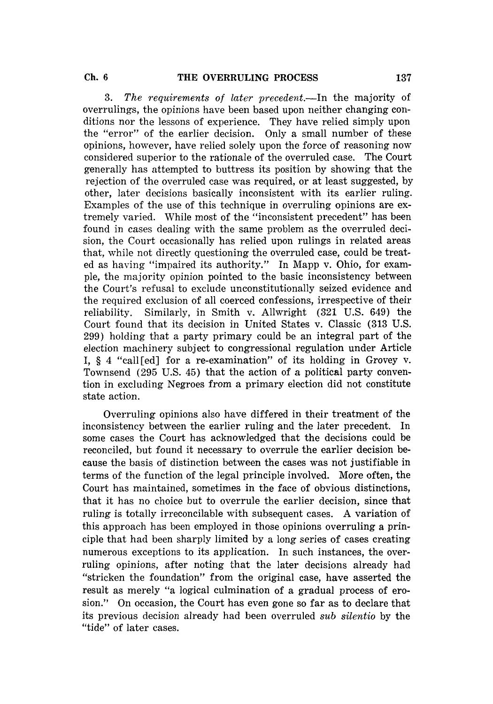3. The requirements of later precedent.—In the majority of overrulings, the opinions have been based upon neither changing conditions nor the lessons of experience. They have relied simply upon the "error" of the earlier decision. Only a small number of these opinions, however, have relied solely upon the force of reasoning now considered superior to the rationale of the overruled case. The Court generally has attempted to buttress its position by showing that the rejection of the overruled case was required, or at least suggested, by other, later decisions basically inconsistent with its earlier ruling. Examples of the use of this technique in overruling opinions are extremely varied. While most of the "inconsistent precedent" has been found in cases dealing with the same problem as the overruled decision, the Court occasionally has relied upon rulings in related areas that, while not directly questioning the overruled case, could be treated as having "impaired its authority." In Mapp v. Ohio, for example, the majority opinion pointed to the basic inconsistency between the Court's refusal to exclude unconstitutionally seized evidence and the required exclusion of all coerced confessions, irrespective of their reliability. Similarly, in Smith v. Allwright (321 U.S. 649) the Court found that its decision in United States v. Classic (313 U.S. 299) holding that a party primary could be an integral part of the election machinery subject to congressional regulation under Article I, § 4 "call [ed] for a re-examination" of its holding in Grovey v. Townsend (295 U.S. 45) that the action of a political party convention in excluding Negroes from a primary election did not constitute state action.

Overruling opinions also have differed in their treatment of the inconsistency between the earlier ruling and the later precedent. In some cases the Court has acknowledged that the decisions could be reconciled, but found it necessary to overrule the earlier decision because the basis of distinction between the cases was not justifiable in terms of the function of the legal principle involved. More often, the Court has maintained, sometimes in the face of obvious distinctions, that it has no choice but to overrule the earlier decision, since that ruling is totally irreconcilable with subsequent cases. A variation of this approach has been employed in those opinions overruling a principle that had been sharply limited by a long series of cases creating numerous exceptions to its application. In such instances, the overruling opinions, after noting that the later decisions already had "stricken the foundation" from the original case, have asserted the result as merely "a logical culmination of a gradual process of erosion." On occasion, the Court has even gone so far as to declare that its previous decision already had been overruled *sub silentio* by the "tide" of later cases.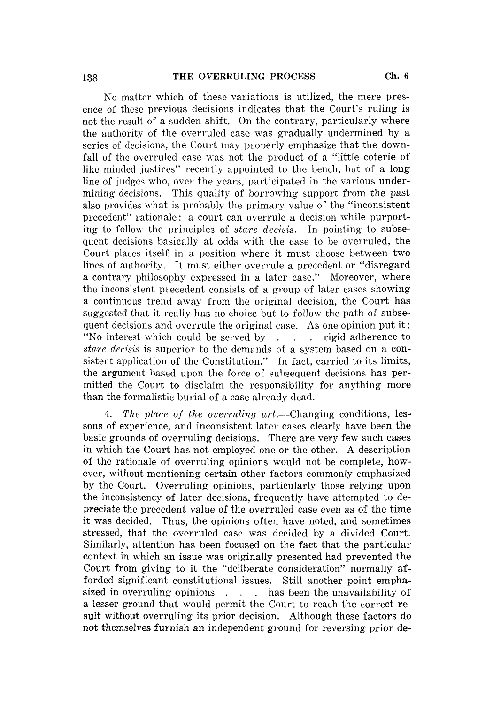No matter which of these variations is utilized, the mere presence of these previous decisions indicates that the Court's ruling is not the result of a sudden shift. On the contrary, particularly where the authority of the overruled case was gradually undermined by a series of decisions, the Court may properly emphasize that the downfall of the overruled case was not the product of a "little coterie of like minded justices" recently appointed to the bench, but of a long line of judges who, over the years, participated in the various undermining decisions. This quality of borrowing support from the past also provides what is probably the primary value of the "inconsistent precedent" rationale: a court can overrule a decision while purporting to follow the principles of *stare decisis.* In pointing to subsequent decisions basically at odds with the case to be overruled, the Court places itself in a position where it must choose between two lines of authority. It must either overrule a precedent or "disregard a contrary philosophy expressed in a later case." Moreover, where the inconsistent precedent consists of a group of later cases showing a continuous trend away from the original decision, the Court has suggested that it really has no choice but to follow the path of subsequent decisions and overrule the original case. As one opinion put it: "No interest which could be served by  $\ldots$  rigid adherence to *stare decisis* is superior to the demands of a system based on a consistent application of the Constitution." In fact, carried to its limits, the argument based upon the force of subsequent decisions has permitted the Court to disclaim the responsibility for anything more than the formalistic burial of a case already dead.

4. The place of the overruling art.—Changing conditions, lessons of experience, and inconsistent later cases clearly have been the basic grounds of overruling decisions. There are very few such cases in which the Court has not employed one or the other. A description of the rationale of overruling opinions would not be complete, however, without mentioning certain other factors commonly emphasized by the Court. Overruling opinions, particularly those relying upon the inconsistency of later decisions, frequently have attempted to depreciate the precedent value of the overruled case even as of the time it was decided. Thus, the opinions often have noted, and sometimes stressed, that the overruled case was decided by a divided Court. Similarly, attention has been focused on the fact that the particular context in which an issue was originally presented had prevented the Court from giving to it the "deliberate consideration" normally afforded significant constitutional issues. Still another point emphasized in overruling opinions  $\ldots$  has been the unavailability of a lesser ground that would permit the Court to reach the correct result without overruling its prior decision. Although these factors do not themselves furnish an independent ground for reversing prior de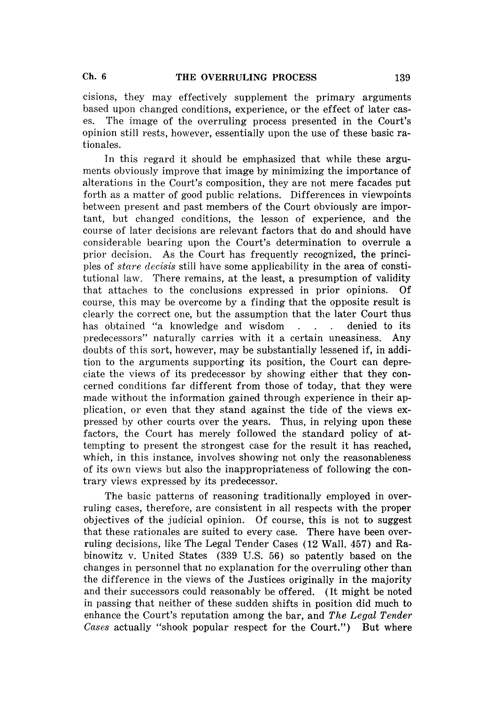cisions, they may effectively supplement the primary arguments based upon changed conditions, experience, or the effect of later cases. The image of the overruling process presented in the Court's opinion still rests, however, essentially upon the use of these basic rationales.

In this regard it should be emphasized that while these arguments obviously improve that image by minimizing the importance of alterations in the Court's composition, they are not mere facades put forth as a matter of good public relations. Differences in viewpoints between present and past members of the Court obviously are important, but changed conditions, the lesson of experience, and the course of later decisions are relevant factors that do and should have considerable bearing upon the Court's determination to overrule a prior decision. As the Court has frequently recognized, the principles of *stare clecisis* still have some applicability in the area of constitutional law. There remains, at the least, a presumption of validity that attaches to the conclusions expressed in prior opinions. Of course, this may be overcome by a finding that the opposite result is clearly the correct one, but the assumption that the later Court thus has obtained "a knowledge and wisdom . . . denied to its predecessors" naturally carries with it a certain uneasiness. Any doubts of this sort, however, may be substantially lessened if, in addition to the arguments supporting its position, the Court can depreciate the views of its predecessor by showing either that they concerned conditions far different from those of today, that they were made without the information gained through experience in their application, or even that they stand against the tide of the views expressed by other courts over the years. Thus, in relying upon these factors, the Court has merely followed the standard policy of attempting to present the strongest case for the result it has reached, which, in this instance, involves showing not only the reasonableness of its own views but also the inappropriateness of following the contrary views expressed by its predecessor.

The basic patterns of reasoning traditionally employed in overruling cases, therefore, are consistent in all respects with the proper objectives of the judicial opinion. Of course, this is not to suggest that these rationales are suited to every case. There have been overruling decisions, like The Legal Tender Cases (12 Wall. 457) and Rabinowitz v. United States (339 U.S. 56) so patently based on the changes in personnel that no explanation for the overruling other than the difference in the views of the Justices originally in the majority and their successors could reasonably be offered. ( It might be noted in passing that neither of these sudden shifts in position did much to enhance the Court's reputation among the bar, and *The Legal Tender Cases* actually "shook popular respect for the Court.") But where